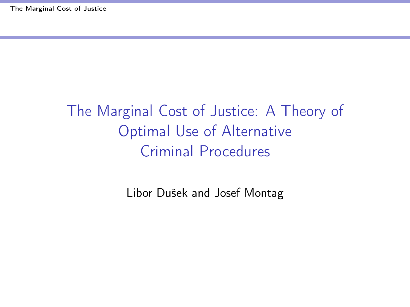# <span id="page-0-0"></span>The Marginal Cost of Justice: A Theory of Optimal Use of Alternative Criminal Procedures

Libor Dušek and Josef Montag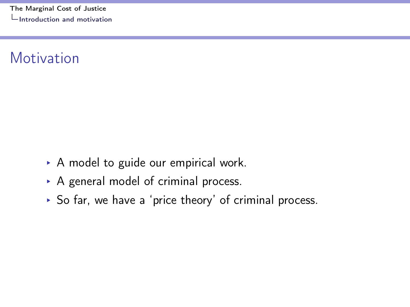<span id="page-1-0"></span>[The Marginal Cost of Justice](#page-0-0) [Introduction and motivation](#page-1-0)

## Motivation

- ▶ A model to guide our empirical work.
- ▶ A general model of criminal process.
- § So far, we have a 'price theory' of criminal process.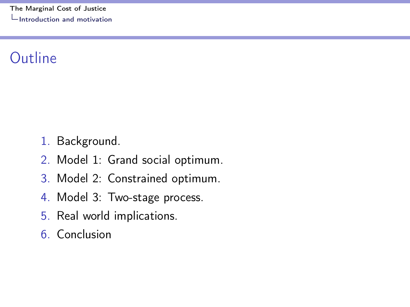## <span id="page-2-0"></span>Outline

- 1. Background.
- 2. Model 1: Grand social optimum.
- 3. Model 2: Constrained optimum.
- 4. Model 3: Two-stage process.
- 5. Real world implications.
- 6. Conclusion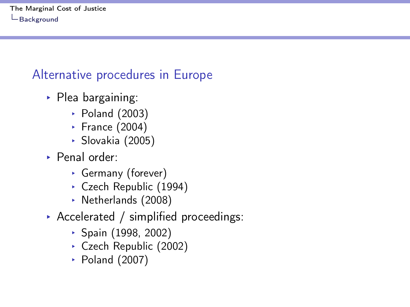#### <span id="page-3-0"></span>Alternative procedures in Europe

- $\triangleright$  Plea bargaining:
	- § Poland (2003)
	- § France (2004)
	- § Slovakia (2005)
- ▶ Penal order:
	- § Germany (forever)
	- § Czech Republic (1994)
	- § Netherlands (2008)
- § Accelerated / simplified proceedings:
	- § Spain (1998, 2002)
	- § Czech Republic (2002)
	- § Poland (2007)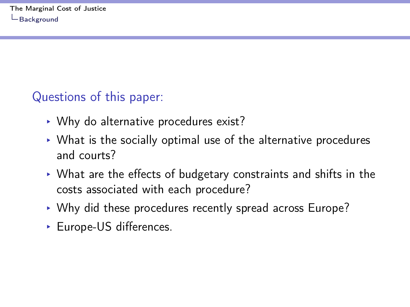## <span id="page-4-0"></span>Questions of this paper:

- § Why do alternative procedures exist?
- $\triangleright$  What is the socially optimal use of the alternative procedures and courts?
- § What are the effects of budgetary constraints and shifts in the costs associated with each procedure?
- § Why did these procedures recently spread across Europe?
- ► Europe-US differences.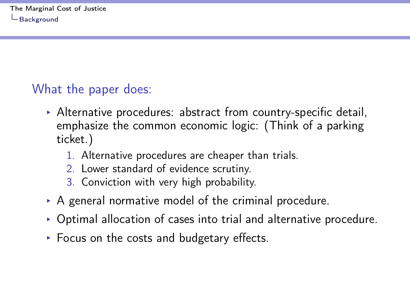## <span id="page-5-0"></span>What the paper does:

- $\triangleright$  Alternative procedures: abstract from country-specific detail, emphasize the common economic logic: (Think of a parking ticket.)
	- 1. Alternative procedures are cheaper than trials.
	- 2. Lower standard of evidence scrutiny.
	- 3. Conviction with very high probability.
- $\triangleright$  A general normative model of the criminal procedure.
- $\triangleright$  Optimal allocation of cases into trial and alternative procedure.
- ▶ Focus on the costs and budgetary effects.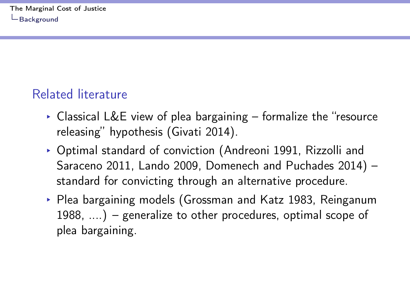## <span id="page-6-0"></span>Related literature

- $\triangleright$  Classical L&E view of plea bargaining formalize the "resource releasing" hypothesis (Givati 2014).
- § Optimal standard of conviction (Andreoni 1991, Rizzolli and Saraceno 2011, Lando 2009, Domenech and Puchades 2014) – standard for convicting through an alternative procedure.
- ▶ Plea bargaining models (Grossman and Katz 1983, Reinganum 1988, ....) – generalize to other procedures, optimal scope of plea bargaining.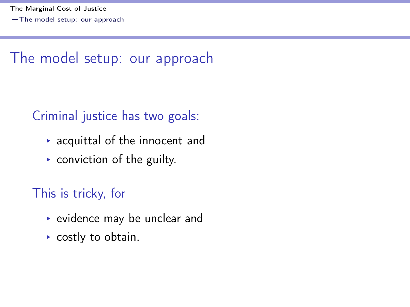## <span id="page-7-0"></span>The model setup: our approach

## Criminal justice has two goals:

- $\rightarrow$  acquittal of the innocent and
- $\triangleright$  conviction of the guilty.

### This is tricky, for

- § evidence may be unclear and
- ▶ costly to obtain.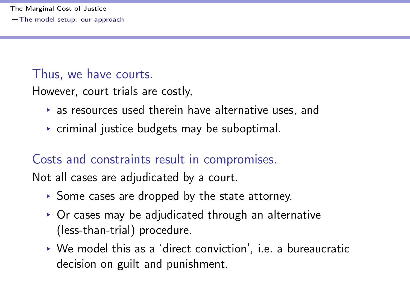#### <span id="page-8-0"></span>Thus, we have courts.

However, court trials are costly,

- $\rightarrow$  as resources used therein have alternative uses, and
- $\triangleright$  criminal justice budgets may be suboptimal.

### Costs and constraints result in compromises.

Not all cases are adjudicated by a court.

- § Some cases are dropped by the state attorney.
- $\triangleright$  Or cases may be adjudicated through an alternative (less-than-trial) procedure.
- § We model this as a 'direct conviction', i.e. a bureaucratic decision on guilt and punishment.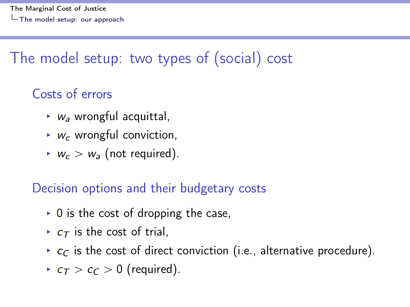# <span id="page-9-0"></span>The model setup: two types of (social) cost

## Costs of errors

- $\triangleright$   $w_a$  wrongful acquittal,
- $\triangleright$  w<sub>c</sub> wrongful conviction,
- $w_c > w_a$  (not required).

## Decision options and their budgetary costs

- $\triangleright$  0 is the cost of dropping the case,
- $\triangleright$   $c_{\tau}$  is the cost of trial,
- $\rightarrow$   $c_C$  is the cost of direct conviction (i.e., alternative procedure).
- $\epsilon \tau > c_C > 0$  (required).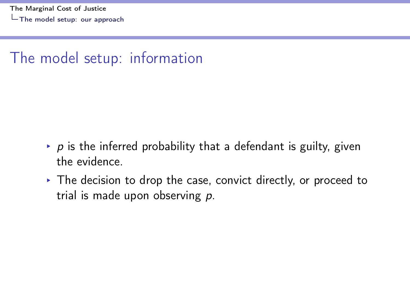## <span id="page-10-0"></span>The model setup: information

- $\rightarrow$  p is the inferred probability that a defendant is guilty, given the evidence.
- $\triangleright$  The decision to drop the case, convict directly, or proceed to trial is made upon observing p.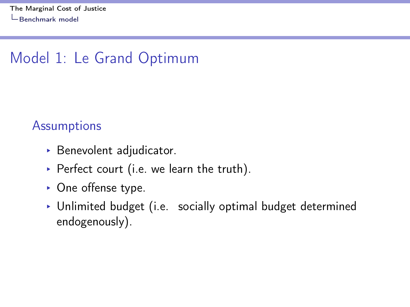# <span id="page-11-0"></span>Model 1: Le Grand Optimum

#### **Assumptions**

- ▶ Benevolent adjudicator.
- ▶ Perfect court (i.e. we learn the truth).
- ▶ One offense type.
- ▶ Unlimited budget (i.e. socially optimal budget determined endogenously).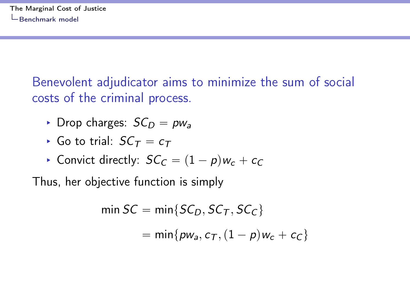<span id="page-12-0"></span>Benevolent adjudicator aims to minimize the sum of social costs of the criminal process.

- ▶ Drop charges:  $SC_D = pw_a$
- ▶ Go to trial:  $SC_{\tau} = c_{\tau}$
- ▶ Convict directly:  $SC_C = (1 p)w_c + c_C$

Thus, her objective function is simply

$$
\begin{aligned} \min SC &= \min \{ SC_D, SC_T, SC_C \} \\ &= \min \{ pw_a, c_T, (1 - p) w_c + c_C \} \end{aligned}
$$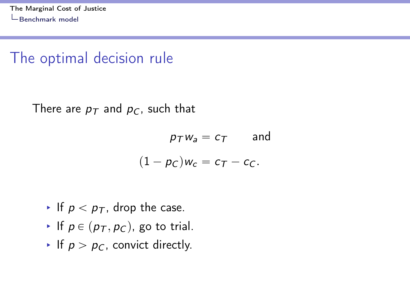## <span id="page-13-0"></span>The optimal decision rule

There are  $p_T$  and  $p_C$ , such that

$$
p_T w_a = c_T \qquad \text{and}
$$

$$
(1 - p_C) w_c = c_T - c_C.
$$

- If  $p < p<sub>T</sub>$ , drop the case.
- If  $p \in (p_T, p_C)$ , go to trial.
- If  $p > p_C$ , convict directly.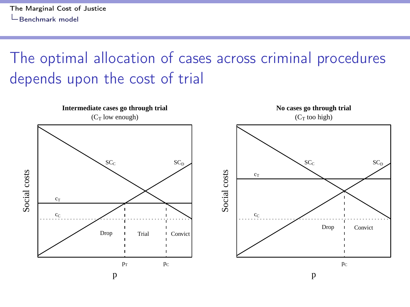<span id="page-14-0"></span>The optimal allocation of cases across criminal procedures depends upon the cost of trial

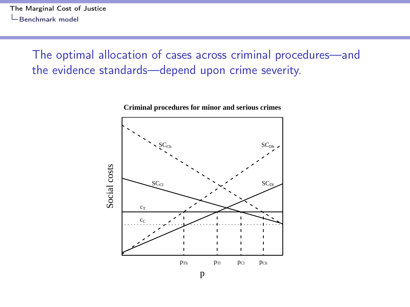<span id="page-15-0"></span>The optimal allocation of cases across criminal procedures—and the evidence standards—depend upon crime severity.

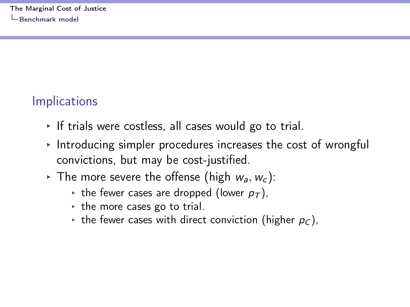## <span id="page-16-0"></span>**Implications**

- $\cdot$  If trials were costless, all cases would go to trial.
- $\triangleright$  Introducing simpler procedures increases the cost of wrongful convictions, but may be cost-justified.
- Fig. The more severe the offense (high  $w_a, w_c$ ):
	- If the fewer cases are dropped (lower  $p<sub>T</sub>$ ),
	- $\cdot$  the more cases go to trial.
	- the fewer cases with direct conviction (higher  $p_c$ ),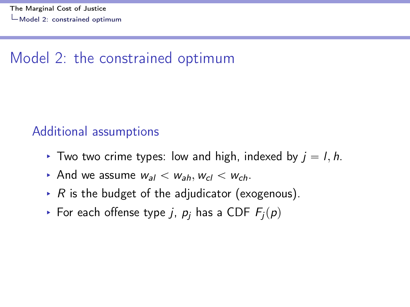## <span id="page-17-0"></span>Model 2: the constrained optimum

#### Additional assumptions

- ▶ Two two crime types: low and high, indexed by  $j = l, h$ .
- And we assume  $w_{a1} < w_{a1}$ ,  $w_{c1} < w_{c2}$ .
- ▶ R is the budget of the adjudicator (exogenous).
- ▶ For each offense type j,  $p_i$  has a CDF  $F_i(p)$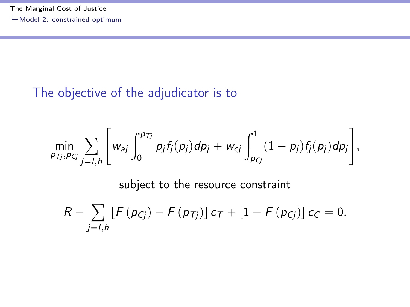#### <span id="page-18-0"></span>The objective of the adjudicator is to

$$
\min_{p_{Tj},p_{Cj}}\sum_{j=I,h}\Bigg[w_{aj}\int_{0}^{p_{Tj}}p_{j}f_{j}(p_{j})dp_{j}+w_{cj}\int_{p_{Cj}}^{1}(1-p_{j})f_{j}(p_{j})dp_{j}\Bigg],
$$

subject to the resource constraint

$$
R - \sum_{j=l,h} [F(p_{Cj}) - F(p_{Tj})] c_T + [1 - F(p_{Cj})] c_C = 0.
$$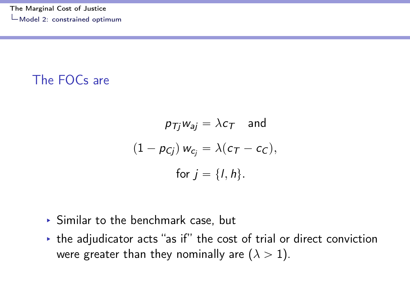#### <span id="page-19-0"></span>The FOCs are

$$
p_{Tj}w_{aj} = \lambda c_T \text{ and}
$$
  

$$
(1 - p_{Cj}) w_{c_j} = \lambda (c_T - c_C),
$$
  
for  $j = \{l, h\}.$ 

- § Similar to the benchmark case, but
- § the adjudicator acts "as if" the cost of trial or direct conviction were greater than they nominally are  $(\lambda > 1)$ .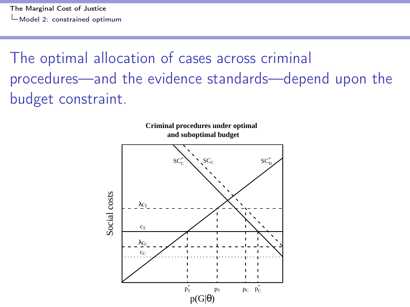<span id="page-20-0"></span>The optimal allocation of cases across criminal procedures—and the evidence standards—depend upon the budget constraint.

**Criminal procedures under optimal** 

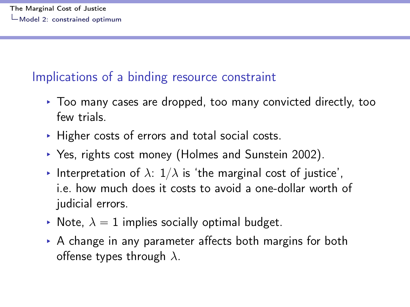### <span id="page-21-0"></span>Implications of a binding resource constraint

- § Too many cases are dropped, too many convicted directly, too few trials.
- $\triangleright$  Higher costs of errors and total social costs.
- § Yes, rights cost money (Holmes and Sunstein 2002).
- Interpretation of  $\lambda$ :  $1/\lambda$  is 'the marginal cost of justice', i.e. how much does it costs to avoid a one-dollar worth of judicial errors.
- Note,  $\lambda = 1$  implies socially optimal budget.
- ▶ A change in any parameter affects both margins for both offense types through  $\lambda$ .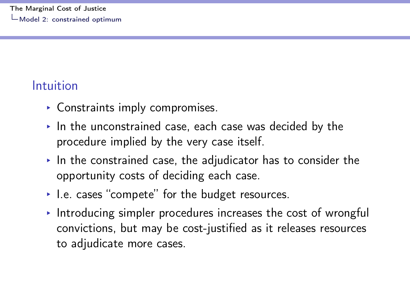## <span id="page-22-0"></span>Intuition

- § Constraints imply compromises.
- $\triangleright$  In the unconstrained case, each case was decided by the procedure implied by the very case itself.
- $\cdot$  In the constrained case, the adjudicator has to consider the opportunity costs of deciding each case.
- ▶ I.e. cases "compete" for the budget resources.
- § Introducing simpler procedures increases the cost of wrongful convictions, but may be cost-justified as it releases resources to adjudicate more cases.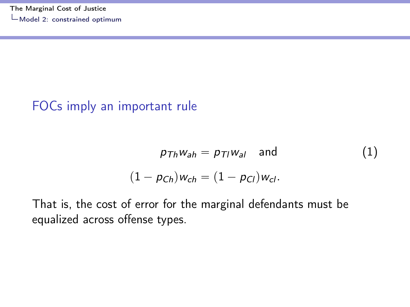#### <span id="page-23-0"></span>FOCs imply an important rule

$$
p_{Th}w_{ah} = p_{Tl}w_{al} \quad \text{and} \tag{1}
$$
\n
$$
(1 - p_{Ch})w_{ch} = (1 - p_{Cl})w_{cl}.
$$

That is, the cost of error for the marginal defendants must be equalized across offense types.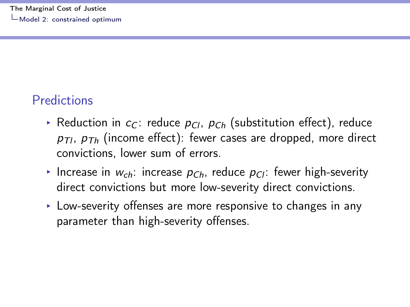## <span id="page-24-0"></span>**Predictions**

- ▶ Reduction in  $c_C$ : reduce  $p_C$ ,  $p_{Ch}$  (substitution effect), reduce  $p_{\tau l}$ ,  $p_{\tau h}$  (income effect): fewer cases are dropped, more direct convictions, lower sum of errors.
- Increase in  $w_{ch}$ : increase  $p_{Ch}$ , reduce  $p_{Cl}$ : fewer high-severity direct convictions but more low-severity direct convictions.
- ► Low-severity offenses are more responsive to changes in any parameter than high-severity offenses.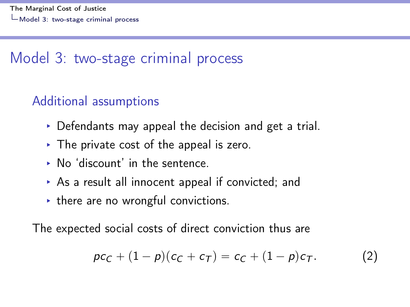## <span id="page-25-0"></span>Model 3: two-stage criminal process

## Additional assumptions

- $\triangleright$  Defendants may appeal the decision and get a trial.
- $\triangleright$  The private cost of the appeal is zero.
- ▶ No 'discount' in the sentence.
- $\triangleright$  As a result all innocent appeal if convicted; and
- $\rightarrow$  there are no wrongful convictions.

The expected social costs of direct conviction thus are

$$
pc_C + (1-p)(c_C + c_T) = c_C + (1-p)c_T.
$$
 (2)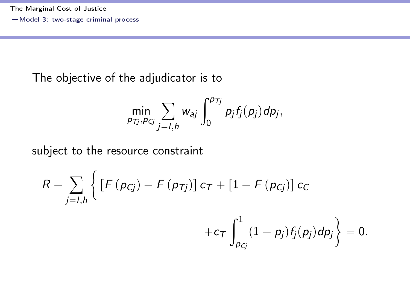#### <span id="page-26-0"></span>The objective of the adjudicator is to

$$
\min_{p_{Tj},p_{Cj}}\sum_{j=1,h}w_{aj}\int_0^{p_{Tj}}p_jf_j(p_j)dp_j,
$$

subject to the resource constraint

 $\lambda$ 

$$
R - \sum_{j=1,h} \left\{ \left[ F(p_{Cj}) - F(p_{Tj}) \right] c_T + \left[ 1 - F(p_{Cj}) \right] c_C + c_T \int_{p_{Cj}}^1 (1-p_j) f_j(p_j) dp_j \right\} = 0.
$$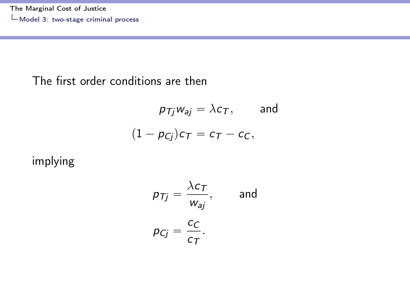#### <span id="page-27-0"></span>The first order conditions are then

$$
p_{Tj}w_{aj} = \lambda c_T, \quad \text{and}
$$

$$
(1 - p_{Cj})c_T = c_T - c_C,
$$

implying

$$
p_{Tj} = \frac{\lambda c_T}{w_{aj}}, \quad \text{and}
$$

$$
p_{Cj} = \frac{c_C}{c_T}.
$$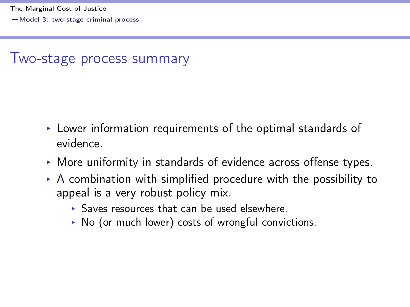### <span id="page-28-0"></span>Two-stage process summary

- $\triangleright$  Lower information requirements of the optimal standards of evidence.
- § More uniformity in standards of evidence across offense types.
- $\triangleright$  A combination with simplified procedure with the possibility to appeal is a very robust policy mix.
	- § Saves resources that can be used elsewhere.
	- § No (or much lower) costs of wrongful convictions.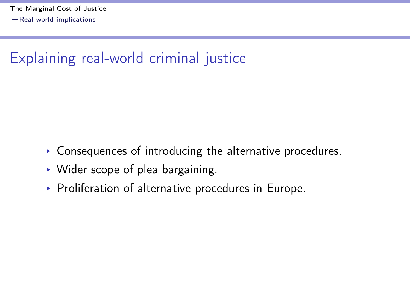## <span id="page-29-0"></span>Explaining real-world criminal justice

- § Consequences of introducing the alternative procedures.
- § Wider scope of plea bargaining.
- ▶ Proliferation of alternative procedures in Europe.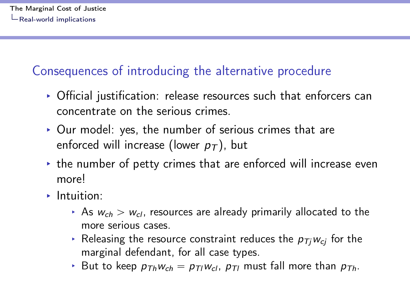### <span id="page-30-0"></span>Consequences of introducing the alternative procedure

- ▶ Official justification: release resources such that enforcers can concentrate on the serious crimes.
- § Our model: yes, the number of serious crimes that are enforced will increase (lower  $p<sub>T</sub>$ ), but
- $\rightarrow$  the number of petty crimes that are enforced will increase even more!
- § Intuition:
	- ▶ As  $w_{ch} > w_{cl}$ , resources are already primarily allocated to the more serious cases.
	- ▸ Releasing the resource constraint reduces the  $p_{Ti}w_{ci}$  for the marginal defendant, for all case types.
	- But to keep  $p_{ThWch} = p_{TlWcl}$ ,  $p_{Tl}$  must fall more than  $p_{Th}$ .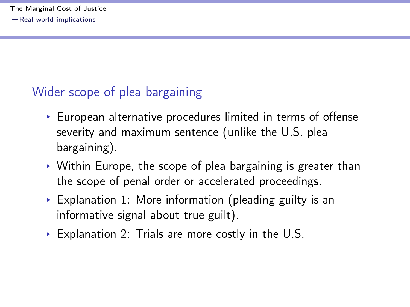### <span id="page-31-0"></span>Wider scope of plea bargaining

- § European alternative procedures limited in terms of offense severity and maximum sentence (unlike the U.S. plea bargaining).
- $\rightarrow$  Within Europe, the scope of plea bargaining is greater than the scope of penal order or accelerated proceedings.
- $\triangleright$  Explanation 1: More information (pleading guilty is an informative signal about true guilt).
- $\triangleright$  Explanation 2: Trials are more costly in the U.S.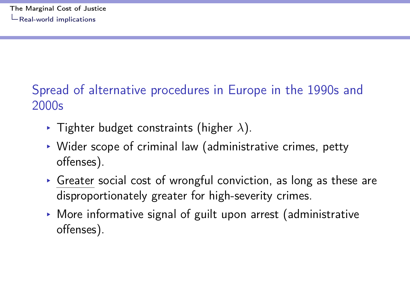## <span id="page-32-0"></span>Spread of alternative procedures in Europe in the 1990s and 2000s

- $\blacktriangleright$  Tighter budget constraints (higher  $\lambda$ ).
- $\triangleright$  Wider scope of criminal law (administrative crimes, petty offenses).
- $\triangleright$  Greater social cost of wrongful conviction, as long as these are disproportionately greater for high-severity crimes.
- $\triangleright$  More informative signal of guilt upon arrest (administrative offenses).